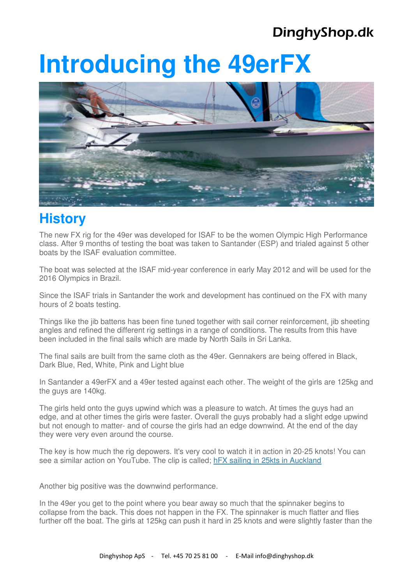# **Introducing the 49erFX**



### **History**

The new FX rig for the 49er was developed for ISAF to be the women Olympic High Performance class. After 9 months of testing the boat was taken to Santander (ESP) and trialed against 5 other boats by the ISAF evaluation committee.

The boat was selected at the ISAF mid-year conference in early May 2012 and will be used for the 2016 Olympics in Brazil.

Since the ISAF trials in Santander the work and development has continued on the FX with many hours of 2 boats testing.

Things like the jib battens has been fine tuned together with sail corner reinforcement, jib sheeting angles and refined the different rig settings in a range of conditions. The results from this have been included in the final sails which are made by North Sails in Sri Lanka.

The final sails are built from the same cloth as the 49er. Gennakers are being offered in Black, Dark Blue, Red, White, Pink and Light blue

In Santander a 49erFX and a 49er tested against each other. The weight of the girls are 125kg and the guys are 140kg.

The girls held onto the guys upwind which was a pleasure to watch. At times the guys had an edge, and at other times the girls were faster. Overall the guys probably had a slight edge upwind but not enough to matter- and of course the girls had an edge downwind. At the end of the day they were very even around the course.

The key is how much the rig depowers. It's very cool to watch it in action in 20-25 knots! You can see a similar action on YouTube. The clip is called; hFX sailing in 25kts in Auckland

Another big positive was the downwind performance.

In the 49er you get to the point where you bear away so much that the spinnaker begins to collapse from the back. This does not happen in the FX. The spinnaker is much flatter and flies further off the boat. The girls at 125kg can push it hard in 25 knots and were slightly faster than the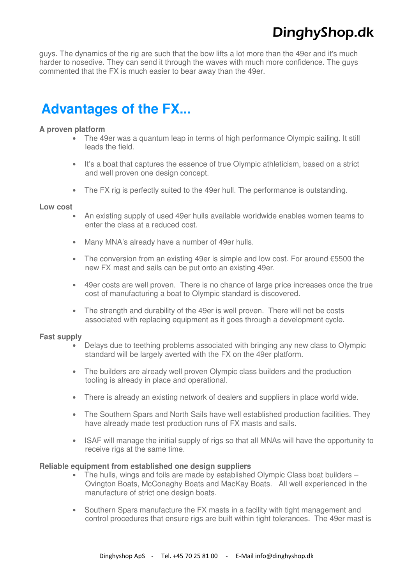guys. The dynamics of the rig are such that the bow lifts a lot more than the 49er and it's much harder to nosedive. They can send it through the waves with much more confidence. The guys commented that the FX is much easier to bear away than the 49er.

### **Advantages of the FX...**

#### **A proven platform**

- The 49er was a quantum leap in terms of high performance Olympic sailing. It still leads the field.
- It's a boat that captures the essence of true Olympic athleticism, based on a strict and well proven one design concept.
- The FX rig is perfectly suited to the 49er hull. The performance is outstanding.

#### **Low cost**

- An existing supply of used 49er hulls available worldwide enables women teams to enter the class at a reduced cost.
- Many MNA's already have a number of 49er hulls.
- The conversion from an existing 49er is simple and low cost. For around €5500 the new FX mast and sails can be put onto an existing 49er.
- 49er costs are well proven. There is no chance of large price increases once the true cost of manufacturing a boat to Olympic standard is discovered.
- The strength and durability of the 49er is well proven. There will not be costs associated with replacing equipment as it goes through a development cycle.

#### **Fast supply**

- Delays due to teething problems associated with bringing any new class to Olympic standard will be largely averted with the FX on the 49er platform.
- The builders are already well proven Olympic class builders and the production tooling is already in place and operational.
- There is already an existing network of dealers and suppliers in place world wide.
- The Southern Spars and North Sails have well established production facilities. They have already made test production runs of FX masts and sails.
- ISAF will manage the initial supply of rigs so that all MNAs will have the opportunity to receive rigs at the same time.

#### **Reliable equipment from established one design suppliers**

- The hulls, wings and foils are made by established Olympic Class boat builders Ovington Boats, McConaghy Boats and MacKay Boats. All well experienced in the manufacture of strict one design boats.
- Southern Spars manufacture the FX masts in a facility with tight management and control procedures that ensure rigs are built within tight tolerances. The 49er mast is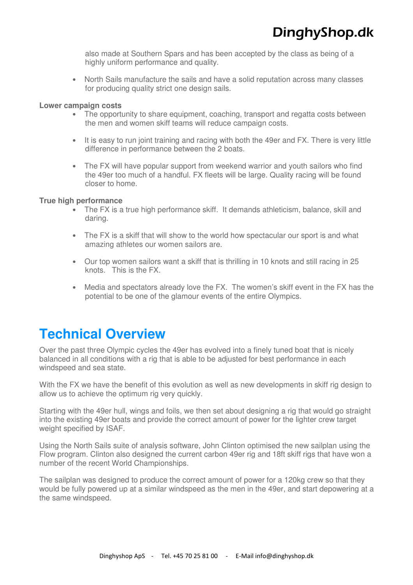also made at Southern Spars and has been accepted by the class as being of a highly uniform performance and quality.

• North Sails manufacture the sails and have a solid reputation across many classes for producing quality strict one design sails.

#### **Lower campaign costs**

- The opportunity to share equipment, coaching, transport and regatta costs between the men and women skiff teams will reduce campaign costs.
- It is easy to run joint training and racing with both the 49er and FX. There is very little difference in performance between the 2 boats.
- The FX will have popular support from weekend warrior and youth sailors who find the 49er too much of a handful. FX fleets will be large. Quality racing will be found closer to home.

#### **True high performance**

- The FX is a true high performance skiff. It demands athleticism, balance, skill and daring.
- The FX is a skiff that will show to the world how spectacular our sport is and what amazing athletes our women sailors are.
- Our top women sailors want a skiff that is thrilling in 10 knots and still racing in 25 knots. This is the FX.
- Media and spectators already love the FX. The women's skiff event in the FX has the potential to be one of the glamour events of the entire Olympics.

### **Technical Overview**

Over the past three Olympic cycles the 49er has evolved into a finely tuned boat that is nicely balanced in all conditions with a rig that is able to be adjusted for best performance in each windspeed and sea state.

With the FX we have the benefit of this evolution as well as new developments in skiff rig design to allow us to achieve the optimum rig very quickly.

Starting with the 49er hull, wings and foils, we then set about designing a rig that would go straight into the existing 49er boats and provide the correct amount of power for the lighter crew target weight specified by ISAF.

Using the North Sails suite of analysis software, John Clinton optimised the new sailplan using the Flow program. Clinton also designed the current carbon 49er rig and 18ft skiff rigs that have won a number of the recent World Championships.

The sailplan was designed to produce the correct amount of power for a 120kg crew so that they would be fully powered up at a similar windspeed as the men in the 49er, and start depowering at a the same windspeed.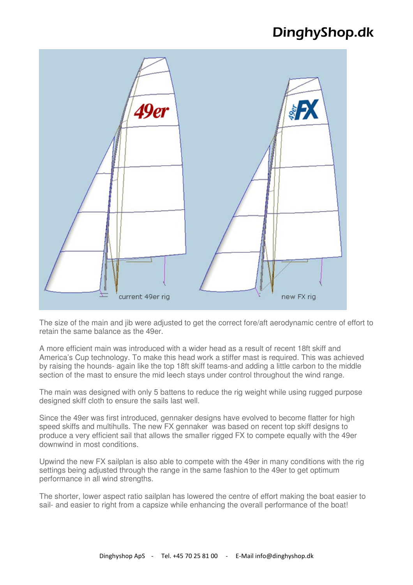

The size of the main and jib were adjusted to get the correct fore/aft aerodynamic centre of effort to retain the same balance as the 49er.

A more efficient main was introduced with a wider head as a result of recent 18ft skiff and America's Cup technology. To make this head work a stiffer mast is required. This was achieved by raising the hounds- again like the top 18ft skiff teams-and adding a little carbon to the middle section of the mast to ensure the mid leech stays under control throughout the wind range.

The main was designed with only 5 battens to reduce the rig weight while using rugged purpose designed skiff cloth to ensure the sails last well.

Since the 49er was first introduced, gennaker designs have evolved to become flatter for high speed skiffs and multihulls. The new FX gennaker was based on recent top skiff designs to produce a very efficient sail that allows the smaller rigged FX to compete equally with the 49er downwind in most conditions.

Upwind the new FX sailplan is also able to compete with the 49er in many conditions with the rig settings being adjusted through the range in the same fashion to the 49er to get optimum performance in all wind strengths.

The shorter, lower aspect ratio sailplan has lowered the centre of effort making the boat easier to sail- and easier to right from a capsize while enhancing the overall performance of the boat!